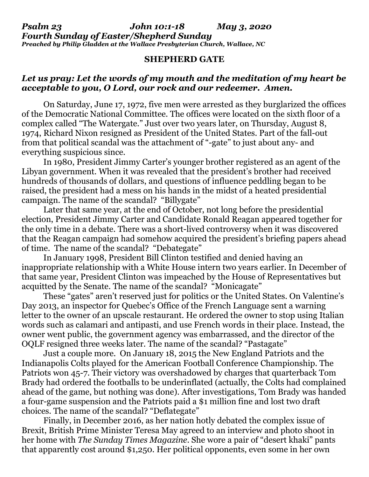*Psalm 23 John 10:1-18 May 3, 2020 Fourth Sunday of Easter/Shepherd Sunday Preached by Philip Gladden at the Wallace Presbyterian Church, Wallace, NC*

## **SHEPHERD GATE**

## *Let us pray: Let the words of my mouth and the meditation of my heart be acceptable to you, O Lord, our rock and our redeemer. Amen.*

On Saturday, June 17, 1972, five men were arrested as they burglarized the offices of the Democratic National Committee. The offices were located on the sixth floor of a complex called "The Watergate." Just over two years later, on Thursday, August 8, 1974, Richard Nixon resigned as President of the United States. Part of the fall-out from that political scandal was the attachment of "-gate" to just about any- and everything suspicious since.

In 1980, President Jimmy Carter's younger brother registered as an agent of the Libyan government. When it was revealed that the president's brother had received hundreds of thousands of dollars, and questions of influence peddling began to be raised, the president had a mess on his hands in the midst of a heated presidential campaign. The name of the scandal? "Billygate"

Later that same year, at the end of October, not long before the presidential election, President Jimmy Carter and Candidate Ronald Reagan appeared together for the only time in a debate. There was a short-lived controversy when it was discovered that the Reagan campaign had somehow acquired the president's briefing papers ahead of time. The name of the scandal? "Debategate"

In January 1998, President Bill Clinton testified and denied having an inappropriate relationship with a White House intern two years earlier. In December of that same year, President Clinton was impeached by the House of Representatives but acquitted by the Senate. The name of the scandal? "Monicagate"

These "gates" aren't reserved just for politics or the United States. On Valentine's Day 2013, an inspector for Quebec's Office of the French Language sent a warning letter to the owner of an upscale restaurant. He ordered the owner to stop using Italian words such as calamari and antipasti, and use French words in their place. Instead, the owner went public, the government agency was embarrassed, and the director of the OQLF resigned three weeks later. The name of the scandal? "Pastagate"

Just a couple more. On January 18, 2015 the New England Patriots and the Indianapolis Colts played for the American Football Conference Championship. The Patriots won 45-7. Their victory was overshadowed by charges that quarterback Tom Brady had ordered the footballs to be underinflated (actually, the Colts had complained ahead of the game, but nothing was done). After investigations, Tom Brady was handed a four-game suspension and the Patriots paid a \$1 million fine and lost two draft choices. The name of the scandal? "Deflategate"

Finally, in December 2016, as her nation hotly debated the complex issue of Brexit, British Prime Minister Teresa May agreed to an interview and photo shoot in her home with *The Sunday Times Magazine*. She wore a pair of "desert khaki" pants that apparently cost around \$1,250. Her political opponents, even some in her own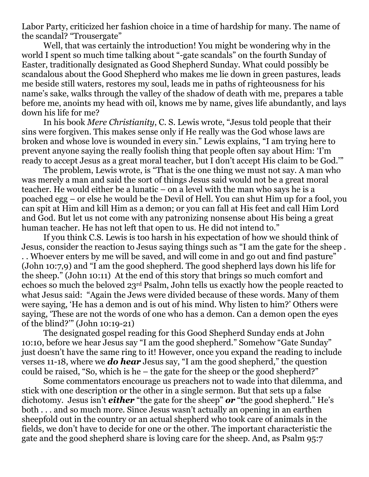Labor Party, criticized her fashion choice in a time of hardship for many. The name of the scandal? "Trousergate"

Well, that was certainly the introduction! You might be wondering why in the world I spent so much time talking about "-gate scandals" on the fourth Sunday of Easter, traditionally designated as Good Shepherd Sunday. What could possibly be scandalous about the Good Shepherd who makes me lie down in green pastures, leads me beside still waters, restores my soul, leads me in paths of righteousness for his name's sake, walks through the valley of the shadow of death with me, prepares a table before me, anoints my head with oil, knows me by name, gives life abundantly, and lays down his life for me?

In his book *Mere Christianity*, C. S. Lewis wrote, "Jesus told people that their sins were forgiven. This makes sense only if He really was the God whose laws are broken and whose love is wounded in every sin." Lewis explains, "I am trying here to prevent anyone saying the really foolish thing that people often say about Him: 'I'm ready to accept Jesus as a great moral teacher, but I don't accept His claim to be God.'"

The problem, Lewis wrote, is "That is the one thing we must not say. A man who was merely a man and said the sort of things Jesus said would not be a great moral teacher. He would either be a lunatic – on a level with the man who says he is a poached egg – or else he would be the Devil of Hell. You can shut Him up for a fool, you can spit at Him and kill Him as a demon; or you can fall at His feet and call Him Lord and God. But let us not come with any patronizing nonsense about His being a great human teacher. He has not left that open to us. He did not intend to."

If you think C.S. Lewis is too harsh in his expectation of how we should think of Jesus, consider the reaction to Jesus saying things such as "I am the gate for the sheep . . . Whoever enters by me will be saved, and will come in and go out and find pasture" (John 10:7,9) and "I am the good shepherd. The good shepherd lays down his life for the sheep." (John 10:11) At the end of this story that brings so much comfort and echoes so much the beloved 23rd Psalm, John tells us exactly how the people reacted to what Jesus said: "Again the Jews were divided because of these words. Many of them were saying, 'He has a demon and is out of his mind. Why listen to him?' Others were saying, 'These are not the words of one who has a demon. Can a demon open the eyes of the blind?'" (John 10:19-21)

The designated gospel reading for this Good Shepherd Sunday ends at John 10:10, before we hear Jesus say "I am the good shepherd." Somehow "Gate Sunday" just doesn't have the same ring to it! However, once you expand the reading to include verses 11-18, where we *do hear* Jesus say, "I am the good shepherd," the question could be raised, "So, which is he – the gate for the sheep or the good shepherd?"

Some commentators encourage us preachers not to wade into that dilemma, and stick with one description or the other in a single sermon. But that sets up a false dichotomy. Jesus isn't *either* "the gate for the sheep" *or* "the good shepherd." He's both . . . and so much more. Since Jesus wasn't actually an opening in an earthen sheepfold out in the country or an actual shepherd who took care of animals in the fields, we don't have to decide for one or the other. The important characteristic the gate and the good shepherd share is loving care for the sheep. And, as Psalm 95:7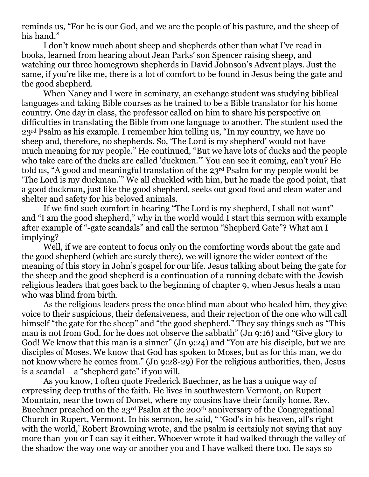reminds us, "For he is our God, and we are the people of his pasture, and the sheep of his hand."

I don't know much about sheep and shepherds other than what I've read in books, learned from hearing about Jean Parks' son Spencer raising sheep, and watching our three homegrown shepherds in David Johnson's Advent plays. Just the same, if you're like me, there is a lot of comfort to be found in Jesus being the gate and the good shepherd.

When Nancy and I were in seminary, an exchange student was studying biblical languages and taking Bible courses as he trained to be a Bible translator for his home country. One day in class, the professor called on him to share his perspective on difficulties in translating the Bible from one language to another. The student used the 23rd Psalm as his example. I remember him telling us, "In my country, we have no sheep and, therefore, no shepherds. So, 'The Lord is my shepherd' would not have much meaning for my people." He continued, "But we have lots of ducks and the people who take care of the ducks are called 'duckmen.'" You can see it coming, can't you? He told us, "A good and meaningful translation of the 23rd Psalm for my people would be 'The Lord is my duckman.'" We all chuckled with him, but he made the good point, that a good duckman, just like the good shepherd, seeks out good food and clean water and shelter and safety for his beloved animals.

If we find such comfort in hearing "The Lord is my shepherd, I shall not want" and "I am the good shepherd," why in the world would I start this sermon with example after example of "-gate scandals" and call the sermon "Shepherd Gate"? What am I implying?

Well, if we are content to focus only on the comforting words about the gate and the good shepherd (which are surely there), we will ignore the wider context of the meaning of this story in John's gospel for our life. Jesus talking about being the gate for the sheep and the good shepherd is a continuation of a running debate with the Jewish religious leaders that goes back to the beginning of chapter 9, when Jesus heals a man who was blind from birth.

As the religious leaders press the once blind man about who healed him, they give voice to their suspicions, their defensiveness, and their rejection of the one who will call himself "the gate for the sheep" and "the good shepherd." They say things such as "This man is not from God, for he does not observe the sabbath" (Jn 9:16) and "Give glory to God! We know that this man is a sinner" (Jn 9:24) and "You are his disciple, but we are disciples of Moses. We know that God has spoken to Moses, but as for this man, we do not know where he comes from." (Jn 9:28-29) For the religious authorities, then, Jesus is a scandal – a "shepherd gate" if you will.

As you know, I often quote Frederick Buechner, as he has a unique way of expressing deep truths of the faith. He lives in southwestern Vermont, on Rupert Mountain, near the town of Dorset, where my cousins have their family home. Rev. Buechner preached on the 23rd Psalm at the 200th anniversary of the Congregational Church in Rupert, Vermont. In his sermon, he said, " 'God's in his heaven, all's right with the world,' Robert Browning wrote, and the psalm is certainly not saying that any more than you or I can say it either. Whoever wrote it had walked through the valley of the shadow the way one way or another you and I have walked there too. He says so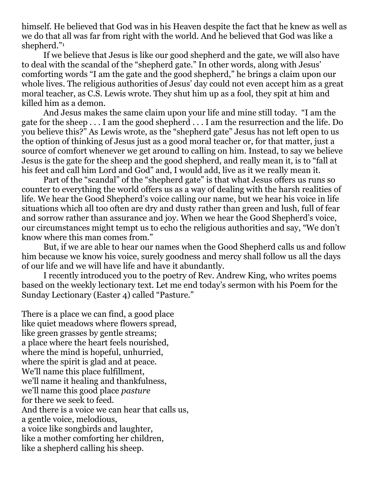himself. He believed that God was in his Heaven despite the fact that he knew as well as we do that all was far from right with the world. And he believed that God was like a shepherd."<sup>1</sup>

If we believe that Jesus is like our good shepherd and the gate, we will also have to deal with the scandal of the "shepherd gate." In other words, along with Jesus' comforting words "I am the gate and the good shepherd," he brings a claim upon our whole lives. The religious authorities of Jesus' day could not even accept him as a great moral teacher, as C.S. Lewis wrote. They shut him up as a fool, they spit at him and killed him as a demon.

And Jesus makes the same claim upon your life and mine still today. "I am the gate for the sheep . . . I am the good shepherd . . . I am the resurrection and the life. Do you believe this?" As Lewis wrote, as the "shepherd gate" Jesus has not left open to us the option of thinking of Jesus just as a good moral teacher or, for that matter, just a source of comfort whenever we get around to calling on him. Instead, to say we believe Jesus is the gate for the sheep and the good shepherd, and really mean it, is to "fall at his feet and call him Lord and God" and, I would add, live as it we really mean it.

Part of the "scandal" of the "shepherd gate" is that what Jesus offers us runs so counter to everything the world offers us as a way of dealing with the harsh realities of life. We hear the Good Shepherd's voice calling our name, but we hear his voice in life situations which all too often are dry and dusty rather than green and lush, full of fear and sorrow rather than assurance and joy. When we hear the Good Shepherd's voice, our circumstances might tempt us to echo the religious authorities and say, "We don't know where this man comes from."

But, if we are able to hear our names when the Good Shepherd calls us and follow him because we know his voice, surely goodness and mercy shall follow us all the days of our life and we will have life and have it abundantly.

I recently introduced you to the poetry of Rev. Andrew King, who writes poems based on the weekly lectionary text. Let me end today's sermon with his Poem for the Sunday Lectionary (Easter 4) called "Pasture."

There is a place we can find, a good place like quiet meadows where flowers spread, like green grasses by gentle streams; a place where the heart feels nourished, where the mind is hopeful, unhurried, where the spirit is glad and at peace. We'll name this place fulfillment, we'll name it healing and thankfulness, we'll name this good place *pasture* for there we seek to feed. And there is a voice we can hear that calls us, a gentle voice, melodious, a voice like songbirds and laughter, like a mother comforting her children, like a shepherd calling his sheep.